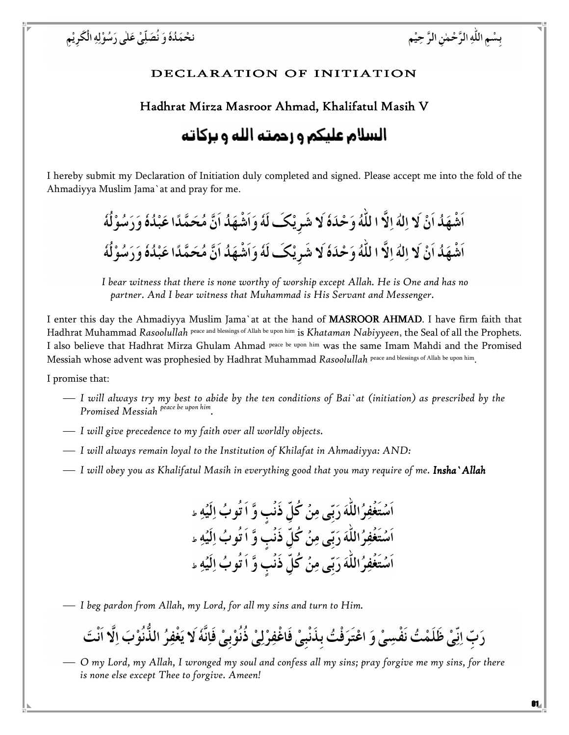بسْمِ اللَّهِ الرَّحْمٰنِ الرَّ حِيْمِ

# DECLARATION OF INITIATION

## Hadhrat Mirza Masroor Ahmad, Khalifatul Masih V

# السلام عليكم و رحمته الله و بركاته

I hereby submit my Declaration of Initiation duly completed and signed. Please accept me into the fold of the Ahmadiyya Muslim Jama`at and pray for me.



I bear witness that there is none worthy of worship except Allah. He is One and has no partner. And I bear witness that Muhammad is His Servant and Messenger.

I enter this day the Ahmadiyya Muslim Jama`at at the hand of **MASROOR AHMAD**. I have firm faith that Hadhrat Muhammad Rasoolullah peace and blessings of Allah be upon him is Khataman Nabiyyeen, the Seal of all the Prophets. I also believe that Hadhrat Mirza Ghulam Ahmad peace be upon him was the same Imam Mahdi and the Promised Messiah whose advent was prophesied by Hadhrat Muhammad Rasoolullah peace and blessings of Allah be upon him.

I promise that:

- I will always try my best to abide by the ten conditions of Bai`at (initiation) as prescribed by the Promised Messiah <sup>peace be upon him</sup>.
- I will give precedence to my faith over all worldly objects.
- $\overline{\phantom{C}}$  I will always remain loyal to the Institution of Khilafat in Ahmadiyya: AND:
- I will obey you as Khalifatul Masih in everything good that you may require of me. **Insha`Allah**

اَسۡتَغۡفِرُاللَّهَ رَبِّي مِنۡ كُلِّ ذَنۡب وَّ اَ تُوبُ اِلَيۡهِ ء اَسْتَغْفِرُاللَّهَ رَبِّي مِنْ كُلِّ ذَنْبٍ وَّ اَ تُوبُ اِلَيْهِ ء اَسۡتَغۡفِرُاللَّهَ رَبِّى مِنۡ كُلِّ ذَنۡبِ وَّ اَ تُوبُ اِلَيۡهِ ء

I beg pardon from Allah, my Lord, for all my sins and turn to Him.

رَبّ اِنِّيْ ظَلَمْتُ نَفْسِيْ وَ اعْتَرَفْتُ بِذَنْبِيْ فَاغْفِرْلِيْ ذُنُوْبِيْ فَاِنَّهٗ لَا يَغْفِرُ الذُّنُوْبَ اِلَّا اَنْتَ

 O my Lord, my Allah, I wronged my soul and confess all my sins; pray forgive me my sins, for there is none else except Thee to forgive. Ameen!

01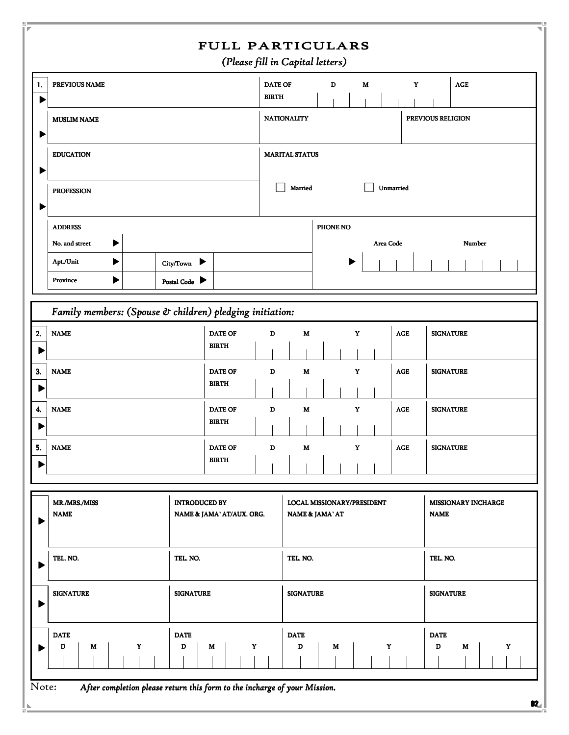|         |                                                                                   |                                                | <b>FULL PARTICULARS</b><br>(Please fill in Capital letters) |                                               |   |             |                                           |                |                            |  |  |
|---------|-----------------------------------------------------------------------------------|------------------------------------------------|-------------------------------------------------------------|-----------------------------------------------|---|-------------|-------------------------------------------|----------------|----------------------------|--|--|
| 1.      | PREVIOUS NAME                                                                     |                                                | <b>BIRTH</b>                                                | <b>DATE OF</b>                                | D | M           |                                           | Y              | AGE                        |  |  |
|         | <b>MUSLIM NAME</b><br><b>EDUCATION</b><br><b>PROFESSION</b>                       |                                                |                                                             | <b>NATIONALITY</b><br>PREVIOUS RELIGION       |   |             |                                           |                |                            |  |  |
|         |                                                                                   |                                                |                                                             | <b>MARITAL STATUS</b><br>Married<br>Unmarried |   |             |                                           |                |                            |  |  |
|         |                                                                                   |                                                |                                                             |                                               |   |             |                                           |                |                            |  |  |
|         | <b>ADDRESS</b>                                                                    |                                                |                                                             | PHONE NO                                      |   |             |                                           |                |                            |  |  |
|         | ▶<br>No. and street<br>Apt./Unit<br>▶<br>▶<br>Province                            | City/Town $\blacktriangleright$<br>Postal Code |                                                             |                                               |   |             | Area Code                                 |                | Number                     |  |  |
|         | Family members: (Spouse $\hat{v}$ children) pledging initiation:                  |                                                |                                                             |                                               |   |             |                                           |                |                            |  |  |
| 2.      | <b>NAME</b>                                                                       | <b>DATE OF</b><br><b>BIRTH</b>                 | D                                                           | M                                             |   | Y           |                                           | AGE            | <b>SIGNATURE</b>           |  |  |
| 3.      | <b>NAME</b>                                                                       | <b>DATE OF</b><br><b>BIRTH</b>                 | D                                                           | M                                             |   | Y           |                                           | <b>AGE</b>     | <b>SIGNATURE</b>           |  |  |
| 4.<br>▶ | <b>NAME</b>                                                                       | <b>DATE OF</b><br><b>BIRTH</b>                 | D                                                           | M                                             |   | Y           |                                           | AGE            | <b>SIGNATURE</b>           |  |  |
| 5.<br>▶ | <b>NAME</b>                                                                       | <b>DATE OF</b><br><b>BIRTH</b>                 | D                                                           | M                                             |   | $\mathbf Y$ |                                           | $\mathbf{AGE}$ | <b>SIGNATURE</b>           |  |  |
|         | <b>INTRODUCED BY</b><br>MR./MRS./MISS<br><b>NAME</b><br>NAME & JAMA' AT/AUX. ORG. |                                                |                                                             | LOCAL MISSIONARY/PRESIDENT<br>NAME & JAMA' AT |   |             | <b>MISSIONARY INCHARGE</b><br><b>NAME</b> |                |                            |  |  |
|         | TEL. NO.                                                                          |                                                | TEL. NO.                                                    |                                               |   |             |                                           | TEL. NO.       |                            |  |  |
|         | <b>SIGNATURE</b><br><b>SIGNATURE</b>                                              |                                                |                                                             | <b>SIGNATURE</b>                              |   |             |                                           |                | <b>SIGNATURE</b>           |  |  |
|         | <b>DATE</b><br>Y<br>M<br>D                                                        | <b>DATE</b><br>D<br>M                          | Y                                                           | <b>DATE</b><br>D                              | M |             | $\mathbf Y$                               |                | <b>DATE</b><br>D<br>M<br>Y |  |  |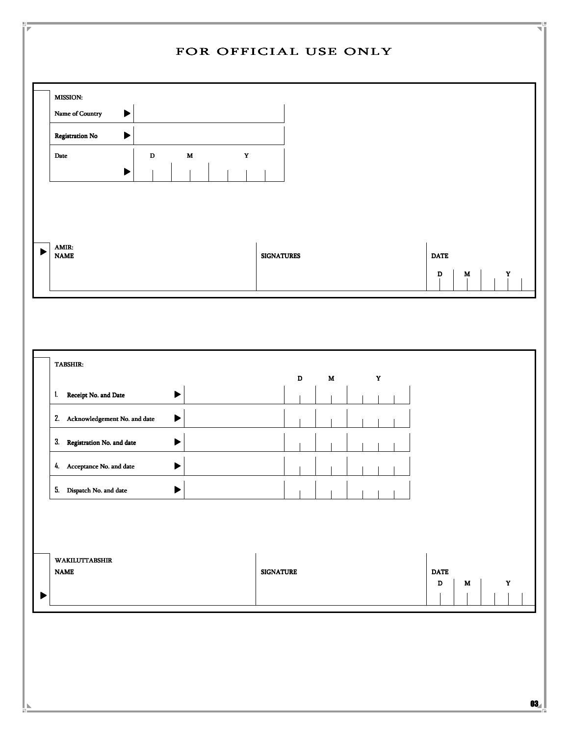| Name of Country<br>$\blacktriangleright$                                                 |                                         |                                           |                                                          |
|------------------------------------------------------------------------------------------|-----------------------------------------|-------------------------------------------|----------------------------------------------------------|
| Registration No<br>$\blacktriangleright$<br>$\mathbf D$<br>Date<br>$\blacktriangleright$ | $\mathbf Y$<br>$\mathbf M$              |                                           |                                                          |
| AMIR:<br>▶<br><b>NAME</b>                                                                |                                         | <b>SIGNATURES</b>                         | <b>DATE</b><br>$\mathbf D$<br>$\mathbf M$<br>$\mathbf Y$ |
| TABSHIR:<br>Receipt No. and Date<br>$\mathbf{1}$                                         | $\blacktriangleright$                   | $\mathbf Y$<br>$\mathbf D$<br>$\mathbf M$ |                                                          |
| 2. Acknowledgement No. and date                                                          | $\blacktriangleright$                   |                                           |                                                          |
| 3. Registration No. and date                                                             | $\blacksquare$<br>$\blacktriangleright$ | $\mathbf{L}$<br>$\sim$ 11<br>$\mathbf{I}$ |                                                          |
| 4. Acceptance No. and date                                                               | $\blacktriangleright$                   |                                           |                                                          |
| 5. Dispatch No. and date                                                                 | $\blacktriangleright$                   |                                           |                                                          |
| WAKILUTTABSHIR<br><b>NAME</b>                                                            |                                         | <b>SIGNATURE</b>                          | $\mathbf{DATE}$<br>$\mathbf D$<br>$\mathbf Y$<br>M       |
|                                                                                          |                                         |                                           |                                                          |